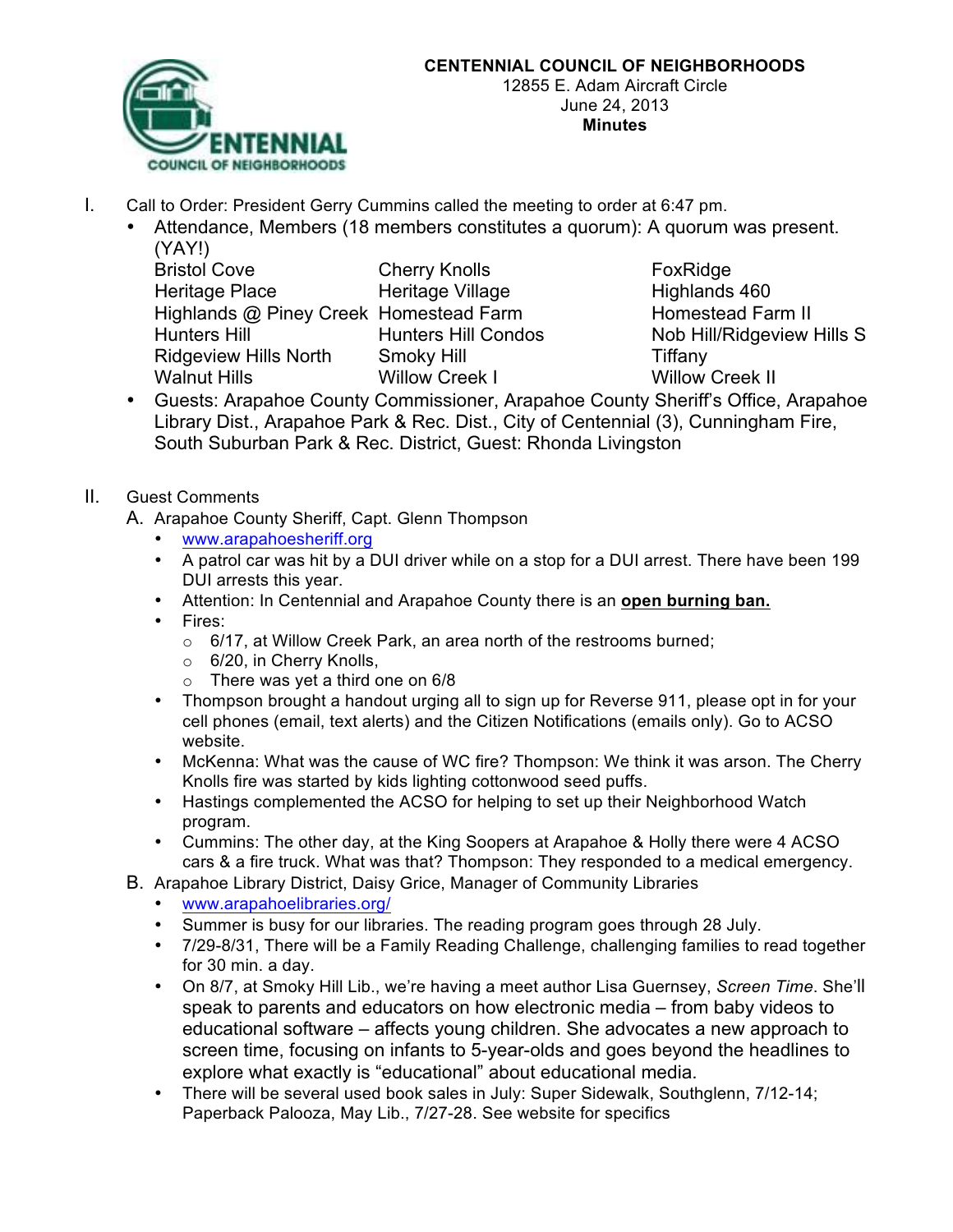

- I. Call to Order: President Gerry Cummins called the meeting to order at 6:47 pm.
	- Attendance, Members (18 members constitutes a quorum): A quorum was present. (YAY!)

| <b>Bristol Cove</b>          |
|------------------------------|
| Heritage Place               |
| Highlands @ Piney Creek      |
| <b>Hunters Hill</b>          |
| <b>Ridgeview Hills North</b> |
| <b>Walnut Hills</b>          |

Cherry Knolls FoxRidge Heritage Village **Highlands** 460 Homestead Farm **Bilghands Homestead Farm II Smoky Hill** North Smoky Hill North Smoky Hill North Smoke Tiffany Willow Creek I Willow Creek II

Hunters Hill Condos Nob Hill/Ridgeview Hills S

• Guests: Arapahoe County Commissioner, Arapahoe County Sheriff's Office, Arapahoe Library Dist., Arapahoe Park & Rec. Dist., City of Centennial (3), Cunningham Fire, South Suburban Park & Rec. District, Guest: Rhonda Livingston

## II. Guest Comments

- A. Arapahoe County Sheriff, Capt. Glenn Thompson
	- www.arapahoesheriff.org
	- A patrol car was hit by a DUI driver while on a stop for a DUI arrest. There have been 199 DUI arrests this year.
	- Attention: In Centennial and Arapahoe County there is an **open burning ban.**
	- Fires:
		- o 6/17, at Willow Creek Park, an area north of the restrooms burned;
		- o 6/20, in Cherry Knolls,
		- $\circ$  There was yet a third one on 6/8
	- Thompson brought a handout urging all to sign up for Reverse 911, please opt in for your cell phones (email, text alerts) and the Citizen Notifications (emails only). Go to ACSO website.
	- McKenna: What was the cause of WC fire? Thompson: We think it was arson. The Cherry Knolls fire was started by kids lighting cottonwood seed puffs.
	- Hastings complemented the ACSO for helping to set up their Neighborhood Watch program.
	- Cummins: The other day, at the King Soopers at Arapahoe & Holly there were 4 ACSO cars & a fire truck. What was that? Thompson: They responded to a medical emergency.
- B. Arapahoe Library District, Daisy Grice, Manager of Community Libraries
	- www.arapahoelibraries.org/
	- Summer is busy for our libraries. The reading program goes through 28 July.
	- 7/29-8/31, There will be a Family Reading Challenge, challenging families to read together for 30 min. a day.
	- On 8/7, at Smoky Hill Lib., we're having a meet author Lisa Guernsey, *Screen Time*. She'll speak to parents and educators on how electronic media – from baby videos to educational software – affects young children. She advocates a new approach to screen time, focusing on infants to 5-year-olds and goes beyond the headlines to explore what exactly is "educational" about educational media.
	- There will be several used book sales in July: Super Sidewalk, Southglenn, 7/12-14; Paperback Palooza, May Lib., 7/27-28. See website for specifics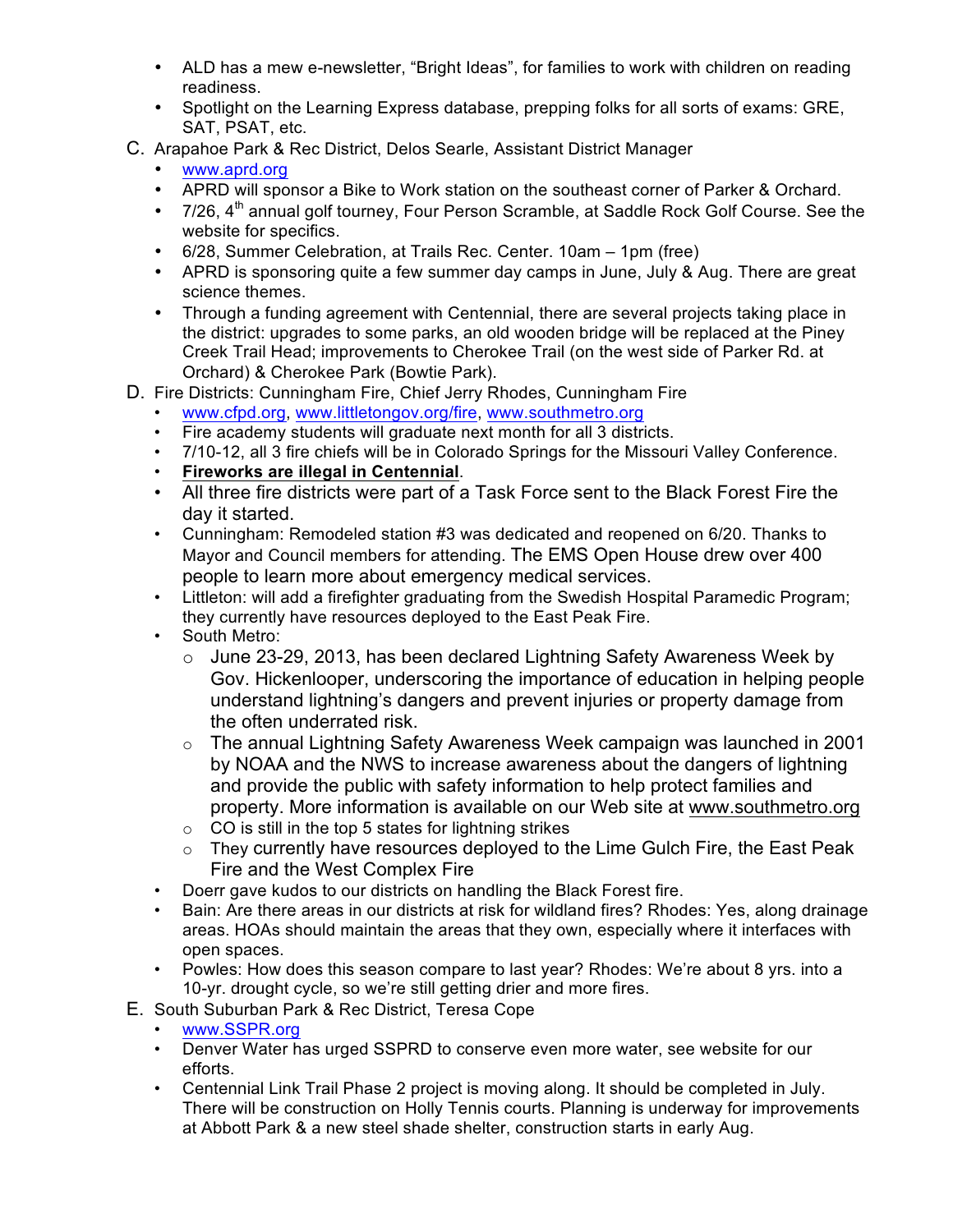- ALD has a mew e-newsletter, "Bright Ideas", for families to work with children on reading readiness.
- Spotlight on the Learning Express database, prepping folks for all sorts of exams: GRE, SAT, PSAT, etc.
- C. Arapahoe Park & Rec District, Delos Searle, Assistant District Manager
	- www.aprd.org
	- APRD will sponsor a Bike to Work station on the southeast corner of Parker & Orchard.
	- 7/26, 4<sup>th</sup> annual golf tourney, Four Person Scramble, at Saddle Rock Golf Course. See the website for specifics.
	- 6/28, Summer Celebration, at Trails Rec. Center. 10am 1pm (free)
	- APRD is sponsoring quite a few summer day camps in June, July & Aug. There are great science themes.
	- Through a funding agreement with Centennial, there are several projects taking place in the district: upgrades to some parks, an old wooden bridge will be replaced at the Piney Creek Trail Head; improvements to Cherokee Trail (on the west side of Parker Rd. at Orchard) & Cherokee Park (Bowtie Park).
- D. Fire Districts: Cunningham Fire, Chief Jerry Rhodes, Cunningham Fire
	- www.cfpd.org, www.littletongov.org/fire, www.southmetro.org
	- Fire academy students will graduate next month for all 3 districts.
	- 7/10-12, all 3 fire chiefs will be in Colorado Springs for the Missouri Valley Conference.
	- **Fireworks are illegal in Centennial**.
	- All three fire districts were part of a Task Force sent to the Black Forest Fire the day it started.
	- Cunningham: Remodeled station #3 was dedicated and reopened on 6/20. Thanks to Mayor and Council members for attending. The EMS Open House drew over 400 people to learn more about emergency medical services.
	- Littleton: will add a firefighter graduating from the Swedish Hospital Paramedic Program; they currently have resources deployed to the East Peak Fire.
	- South Metro:
		- o June 23-29, 2013, has been declared Lightning Safety Awareness Week by Gov. Hickenlooper, underscoring the importance of education in helping people understand lightning's dangers and prevent injuries or property damage from the often underrated risk.
		- $\circ$  The annual Lightning Safety Awareness Week campaign was launched in 2001 by NOAA and the NWS to increase awareness about the dangers of lightning and provide the public with safety information to help protect families and property. More information is available on our Web site at www.southmetro.org
		- $\circ$  CO is still in the top 5 states for lightning strikes
		- o They currently have resources deployed to the Lime Gulch Fire, the East Peak Fire and the West Complex Fire
	- Doerr gave kudos to our districts on handling the Black Forest fire.
	- Bain: Are there areas in our districts at risk for wildland fires? Rhodes: Yes, along drainage areas. HOAs should maintain the areas that they own, especially where it interfaces with open spaces.
	- Powles: How does this season compare to last year? Rhodes: We're about 8 yrs. into a 10-yr. drought cycle, so we're still getting drier and more fires.
- E. South Suburban Park & Rec District, Teresa Cope
	- www.SSPR.org
	- Denver Water has urged SSPRD to conserve even more water, see website for our efforts.
	- Centennial Link Trail Phase 2 project is moving along. It should be completed in July. There will be construction on Holly Tennis courts. Planning is underway for improvements at Abbott Park & a new steel shade shelter, construction starts in early Aug.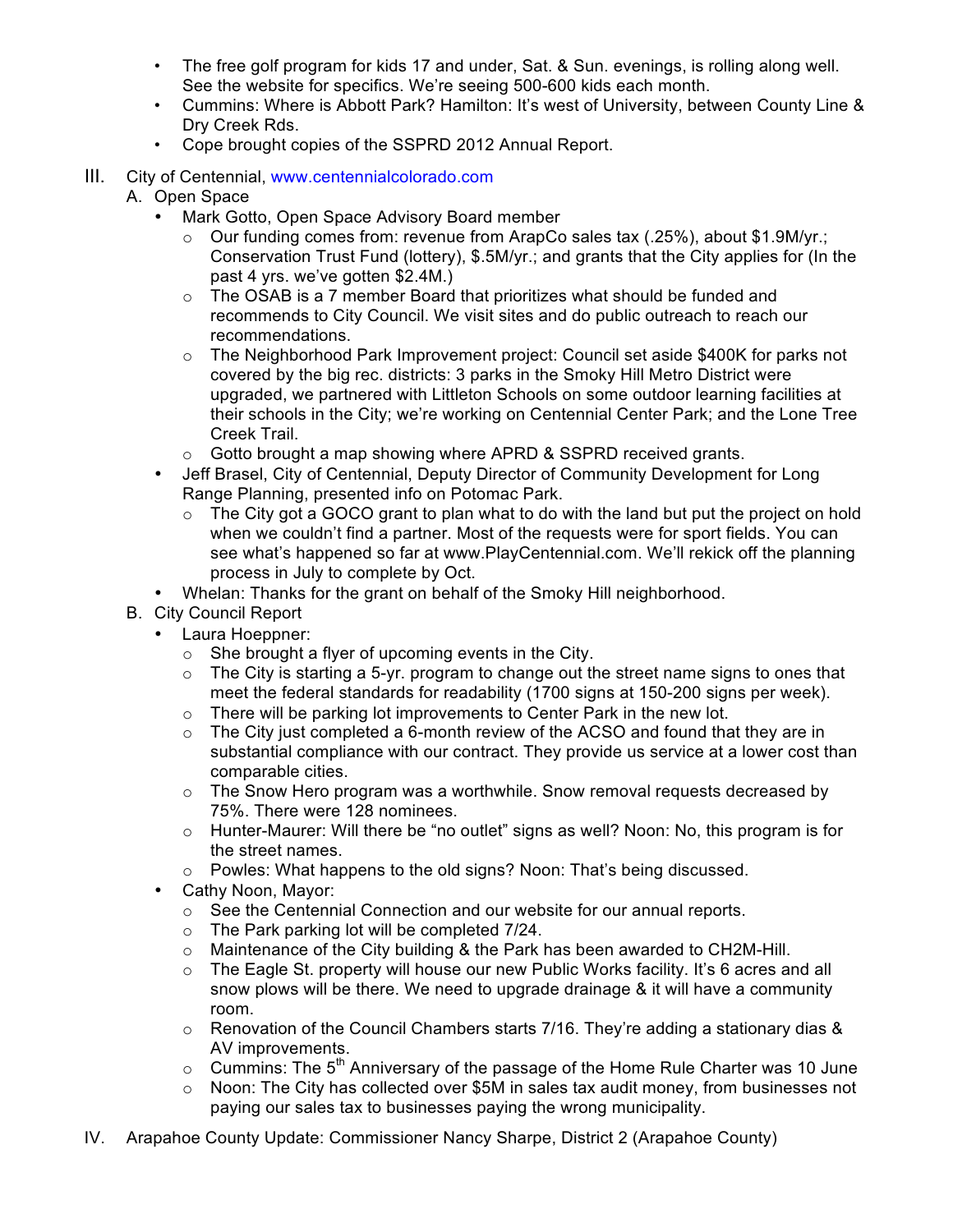- The free golf program for kids 17 and under, Sat. & Sun. evenings, is rolling along well. See the website for specifics. We're seeing 500-600 kids each month.
- Cummins: Where is Abbott Park? Hamilton: It's west of University, between County Line & Dry Creek Rds.
- Cope brought copies of the SSPRD 2012 Annual Report.
- III. City of Centennial, www.centennialcolorado.com
	- A. Open Space
		- Mark Gotto, Open Space Advisory Board member
			- $\circ$  Our funding comes from: revenue from ArapCo sales tax (.25%), about \$1.9M/yr.; Conservation Trust Fund (lottery), \$.5M/yr.; and grants that the City applies for (In the past 4 yrs. we've gotten \$2.4M.)
			- o The OSAB is a 7 member Board that prioritizes what should be funded and recommends to City Council. We visit sites and do public outreach to reach our recommendations.
			- $\circ$  The Neighborhood Park Improvement project: Council set aside \$400K for parks not covered by the big rec. districts: 3 parks in the Smoky Hill Metro District were upgraded, we partnered with Littleton Schools on some outdoor learning facilities at their schools in the City; we're working on Centennial Center Park; and the Lone Tree Creek Trail.
			- o Gotto brought a map showing where APRD & SSPRD received grants.
		- Jeff Brasel, City of Centennial, Deputy Director of Community Development for Long Range Planning, presented info on Potomac Park.
			- $\circ$  The City got a GOCO grant to plan what to do with the land but put the project on hold when we couldn't find a partner. Most of the requests were for sport fields. You can see what's happened so far at www.PlayCentennial.com. We'll rekick off the planning process in July to complete by Oct.
		- Whelan: Thanks for the grant on behalf of the Smoky Hill neighborhood.
	- B. City Council Report
		- Laura Hoeppner:
			- o She brought a flyer of upcoming events in the City.
			- $\circ$  The City is starting a 5-yr. program to change out the street name signs to ones that meet the federal standards for readability (1700 signs at 150-200 signs per week).
			- $\circ$  There will be parking lot improvements to Center Park in the new lot.
			- $\circ$  The City just completed a 6-month review of the ACSO and found that they are in substantial compliance with our contract. They provide us service at a lower cost than comparable cities.
			- $\circ$  The Snow Hero program was a worthwhile. Snow removal requests decreased by 75%. There were 128 nominees.
			- $\circ$  Hunter-Maurer: Will there be "no outlet" signs as well? Noon: No, this program is for the street names.
			- $\circ$  Powles: What happens to the old signs? Noon: That's being discussed.
		- Cathy Noon, Mayor:
			- $\circ$  See the Centennial Connection and our website for our annual reports.
			- o The Park parking lot will be completed 7/24.
			- o Maintenance of the City building & the Park has been awarded to CH2M-Hill.
			- $\circ$  The Eagle St. property will house our new Public Works facility. It's 6 acres and all snow plows will be there. We need to upgrade drainage & it will have a community room.
			- $\circ$  Renovation of the Council Chambers starts 7/16. They're adding a stationary dias & AV improvements.
			- $\circ$  Cummins: The 5<sup>th</sup> Anniversary of the passage of the Home Rule Charter was 10 June
			- o Noon: The City has collected over \$5M in sales tax audit money, from businesses not paying our sales tax to businesses paying the wrong municipality.
- IV. Arapahoe County Update: Commissioner Nancy Sharpe, District 2 (Arapahoe County)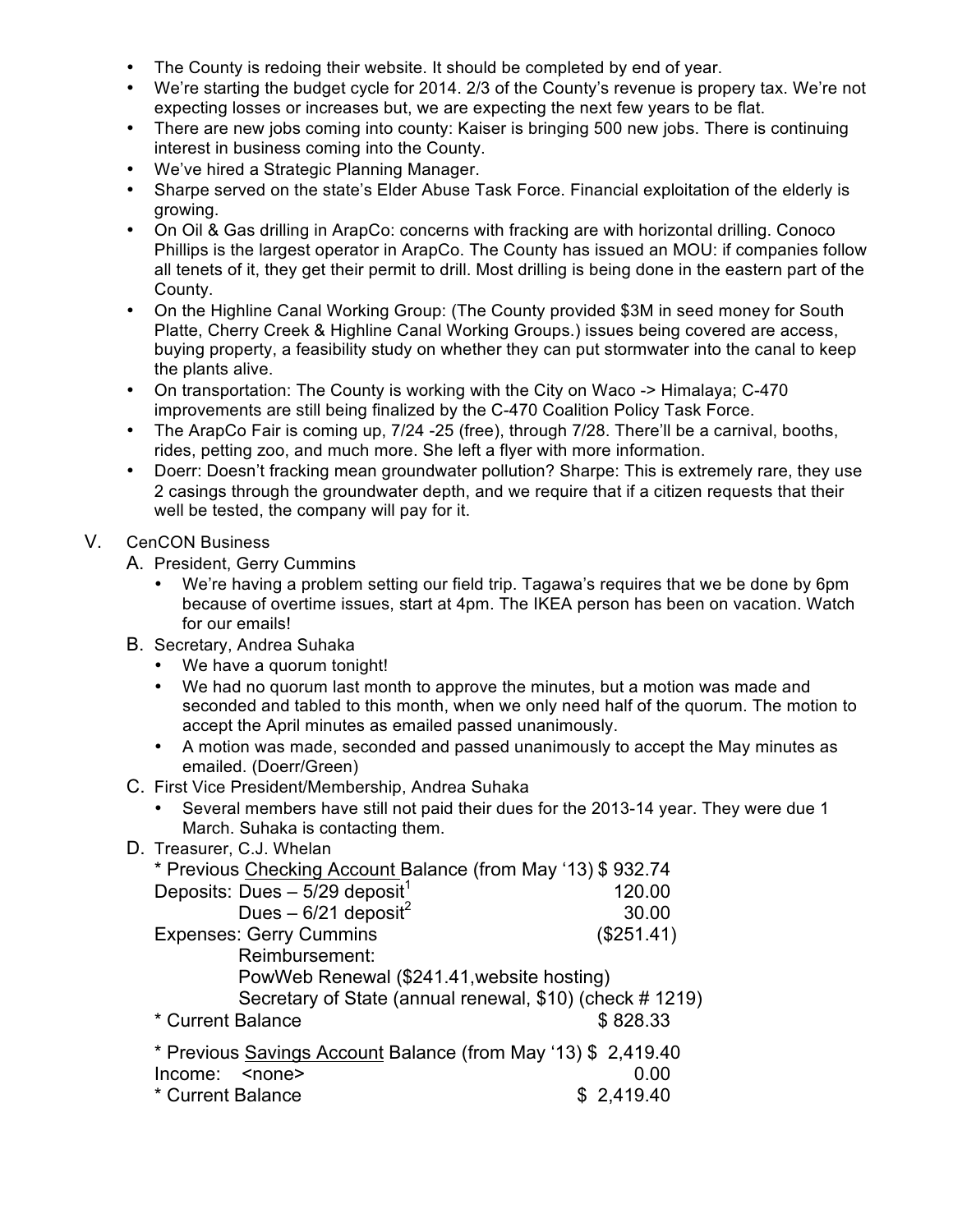- The County is redoing their website. It should be completed by end of year.
- We're starting the budget cycle for 2014. 2/3 of the County's revenue is propery tax. We're not expecting losses or increases but, we are expecting the next few years to be flat.
- There are new jobs coming into county: Kaiser is bringing 500 new jobs. There is continuing interest in business coming into the County.
- We've hired a Strategic Planning Manager.
- Sharpe served on the state's Elder Abuse Task Force. Financial exploitation of the elderly is growing.
- On Oil & Gas drilling in ArapCo: concerns with fracking are with horizontal drilling. Conoco Phillips is the largest operator in ArapCo. The County has issued an MOU: if companies follow all tenets of it, they get their permit to drill. Most drilling is being done in the eastern part of the County.
- On the Highline Canal Working Group: (The County provided \$3M in seed money for South Platte, Cherry Creek & Highline Canal Working Groups.) issues being covered are access, buying property, a feasibility study on whether they can put stormwater into the canal to keep the plants alive.
- On transportation: The County is working with the City on Waco -> Himalaya; C-470 improvements are still being finalized by the C-470 Coalition Policy Task Force.
- The ArapCo Fair is coming up, 7/24 -25 (free), through 7/28. There'll be a carnival, booths, rides, petting zoo, and much more. She left a flyer with more information.
- Doerr: Doesn't fracking mean groundwater pollution? Sharpe: This is extremely rare, they use 2 casings through the groundwater depth, and we require that if a citizen requests that their well be tested, the company will pay for it.

### V. CenCON Business

- A. President, Gerry Cummins
	- We're having a problem setting our field trip. Tagawa's requires that we be done by 6pm because of overtime issues, start at 4pm. The IKEA person has been on vacation. Watch for our emails!
- B. Secretary, Andrea Suhaka
	- We have a quorum tonight!
	- We had no quorum last month to approve the minutes, but a motion was made and seconded and tabled to this month, when we only need half of the quorum. The motion to accept the April minutes as emailed passed unanimously.
	- A motion was made, seconded and passed unanimously to accept the May minutes as emailed. (Doerr/Green)
- C. First Vice President/Membership, Andrea Suhaka
	- Several members have still not paid their dues for the 2013-14 year. They were due 1 March. Suhaka is contacting them.
- D. Treasurer, C.J. Whelan

| * Previous Checking Account Balance (from May '13) \$932.74   |            |
|---------------------------------------------------------------|------------|
| Deposits: Dues $-5/29$ deposit <sup>1</sup>                   | 120.00     |
| Dues - $6/21$ deposit <sup>2</sup>                            | 30.00      |
| <b>Expenses: Gerry Cummins</b>                                | (\$251.41) |
| Reimbursement:                                                |            |
| PowWeb Renewal (\$241.41, website hosting)                    |            |
| Secretary of State (annual renewal, \$10) (check # 1219)      |            |
| * Current Balance                                             | \$828.33   |
| * Previous Savings Account Balance (from May '13) \$ 2,419.40 |            |
| Income: < none>                                               | 0.00       |
| * Current Balance                                             | \$2,419.40 |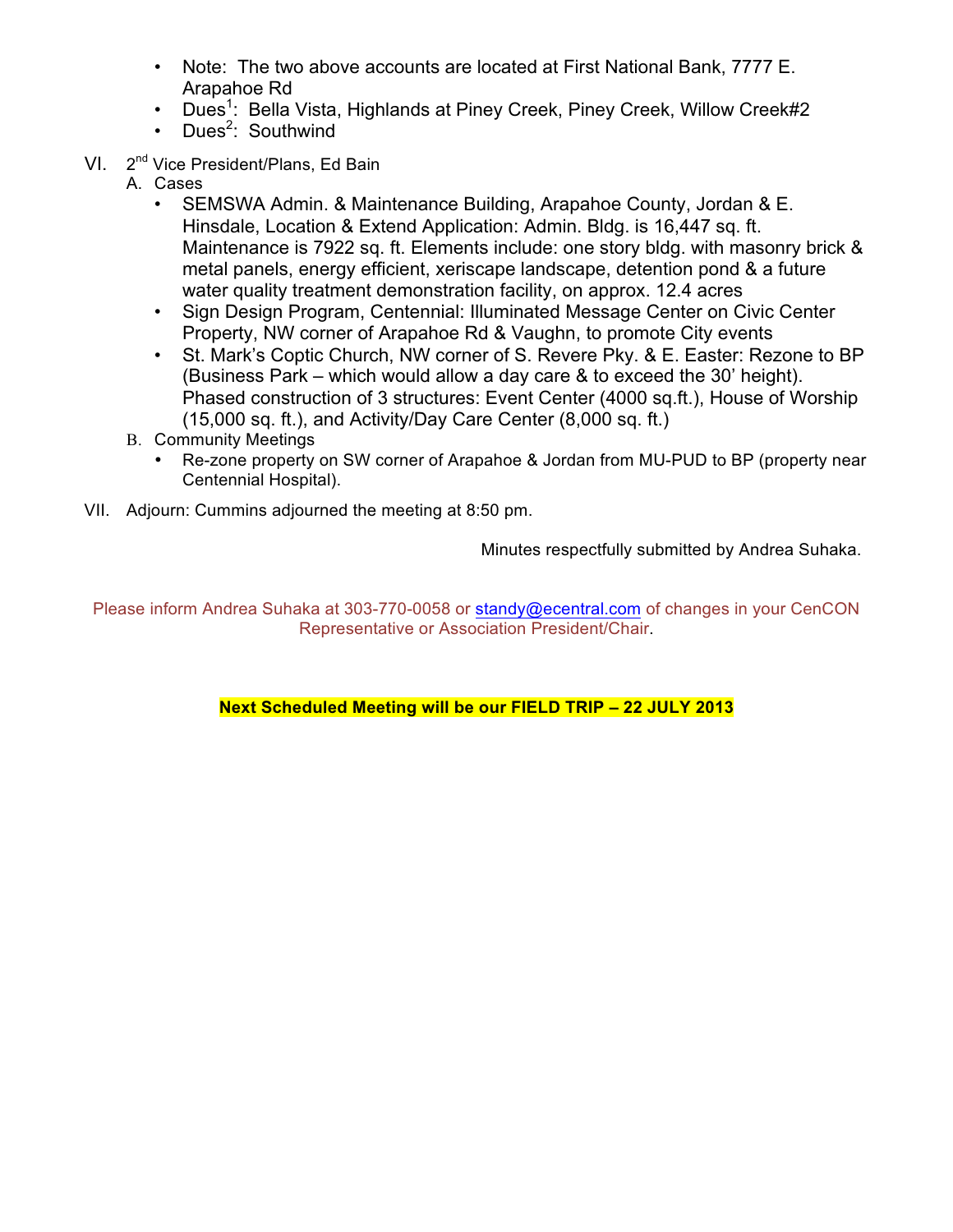- Note: The two above accounts are located at First National Bank, 7777 E. Arapahoe Rd
- Dues<sup>1</sup>: Bella Vista, Highlands at Piney Creek, Piney Creek, Willow Creek#2
- Dues<sup>2</sup>: Southwind
- VI. 2<sup>nd</sup> Vice President/Plans, Ed Bain
	- A. Cases
		- SEMSWA Admin. & Maintenance Building, Arapahoe County, Jordan & E. Hinsdale, Location & Extend Application: Admin. Bldg. is 16,447 sq. ft. Maintenance is 7922 sq. ft. Elements include: one story bldg. with masonry brick & metal panels, energy efficient, xeriscape landscape, detention pond & a future water quality treatment demonstration facility, on approx. 12.4 acres
		- Sign Design Program, Centennial: Illuminated Message Center on Civic Center Property, NW corner of Arapahoe Rd & Vaughn, to promote City events
		- St. Mark's Coptic Church, NW corner of S. Revere Pky. & E. Easter: Rezone to BP (Business Park – which would allow a day care & to exceed the 30' height). Phased construction of 3 structures: Event Center (4000 sq.ft.), House of Worship (15,000 sq. ft.), and Activity/Day Care Center (8,000 sq. ft.)
	- B. Community Meetings
		- Re-zone property on SW corner of Arapahoe & Jordan from MU-PUD to BP (property near Centennial Hospital).
- VII. Adjourn: Cummins adjourned the meeting at 8:50 pm.

Minutes respectfully submitted by Andrea Suhaka.

Please inform Andrea Suhaka at 303-770-0058 or standy@ecentral.com of changes in your CenCON Representative or Association President/Chair.

### **Next Scheduled Meeting will be our FIELD TRIP – 22 JULY 2013**